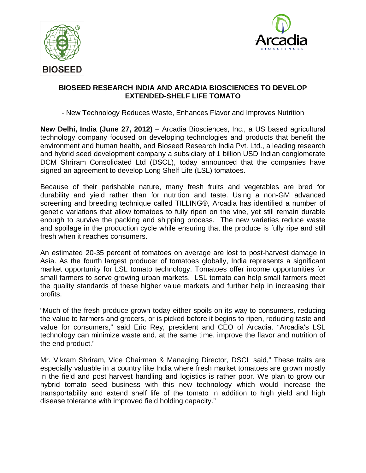



## **BIOSEED RESEARCH INDIA AND ARCADIA BIOSCIENCES TO DEVELOP EXTENDED-SHELF LIFE TOMATO**

- New Technology Reduces Waste, Enhances Flavor and Improves Nutrition

**New Delhi, India (June 27, 2012)** – Arcadia Biosciences, Inc., a US based agricultural technology company focused on developing technologies and products that benefit the environment and human health, and Bioseed Research India Pvt. Ltd., a leading research and hybrid seed development company a subsidiary of 1 billion USD Indian conglomerate DCM Shriram Consolidated Ltd (DSCL), today announced that the companies have signed an agreement to develop Long Shelf Life (LSL) tomatoes.

Because of their perishable nature, many fresh fruits and vegetables are bred for durability and yield rather than for nutrition and taste. Using a non-GM advanced screening and breeding technique called TILLING®, Arcadia has identified a number of genetic variations that allow tomatoes to fully ripen on the vine, yet still remain durable enough to survive the packing and shipping process. The new varieties reduce waste and spoilage in the production cycle while ensuring that the produce is fully ripe and still fresh when it reaches consumers.

An estimated 20-35 percent of tomatoes on average are lost to post-harvest damage in Asia. As the fourth largest producer of tomatoes globally, India represents a significant market opportunity for LSL tomato technology. Tomatoes offer income opportunities for small farmers to serve growing urban markets. LSL tomato can help small farmers meet the quality standards of these higher value markets and further help in increasing their profits.

"Much of the fresh produce grown today either spoils on its way to consumers, reducing the value to farmers and grocers, or is picked before it begins to ripen, reducing taste and value for consumers," said Eric Rey, president and CEO of Arcadia. "Arcadia's LSL technology can minimize waste and, at the same time, improve the flavor and nutrition of the end product."

Mr. Vikram Shriram, Vice Chairman & Managing Director, DSCL said," These traits are especially valuable in a country like India where fresh market tomatoes are grown mostly in the field and post harvest handling and logistics is rather poor. We plan to grow our hybrid tomato seed business with this new technology which would increase the transportability and extend shelf life of the tomato in addition to high yield and high disease tolerance with improved field holding capacity."